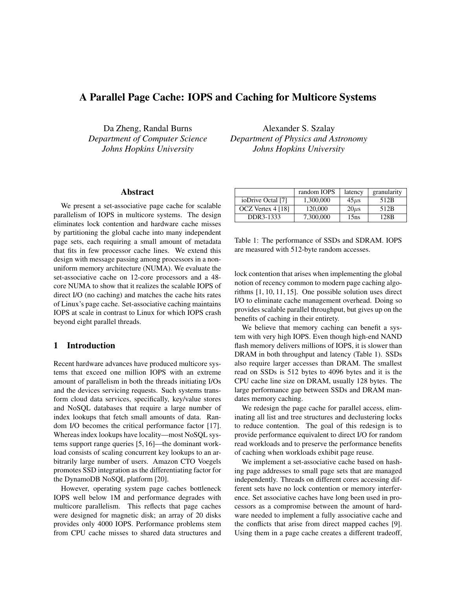# A Parallel Page Cache: IOPS and Caching for Multicore Systems

Da Zheng, Randal Burns *Department of Computer Science Johns Hopkins University*

Alexander S. Szalay *Department of Physics and Astronomy Johns Hopkins University*

# Abstract

We present a set-associative page cache for scalable parallelism of IOPS in multicore systems. The design eliminates lock contention and hardware cache misses by partitioning the global cache into many independent page sets, each requiring a small amount of metadata that fits in few processor cache lines. We extend this design with message passing among processors in a nonuniform memory architecture (NUMA). We evaluate the set-associative cache on 12-core processors and a 48 core NUMA to show that it realizes the scalable IOPS of direct I/O (no caching) and matches the cache hits rates of Linux's page cache. Set-associative caching maintains IOPS at scale in contrast to Linux for which IOPS crash beyond eight parallel threads.

## 1 Introduction

Recent hardware advances have produced multicore systems that exceed one million IOPS with an extreme amount of parallelism in both the threads initiating I/Os and the devices servicing requests. Such systems transform cloud data services, specifically, key/value stores and NoSQL databases that require a large number of index lookups that fetch small amounts of data. Random I/O becomes the critical performance factor [17]. Whereas index lookups have locality—most NoSQL systems support range queries [5, 16]—the dominant workload consists of scaling concurrent key lookups to an arbitrarily large number of users. Amazon CTO Voegels promotes SSD integration as the differentiating factor for the DynamoDB NoSQL platform [20].

However, operating system page caches bottleneck IOPS well below 1M and performance degrades with multicore parallelism. This reflects that page caches were designed for magnetic disk; an array of 20 disks provides only 4000 IOPS. Performance problems stem from CPU cache misses to shared data structures and

|                   | random IOPS | latency    | granularity |
|-------------------|-------------|------------|-------------|
| ioDrive Octal [7] | 1.300,000   | $45 \mu s$ | 512B        |
| OCZ Vertex 4 [18] | 120,000     | $20\mu s$  | 512B        |
| DDR3-1333         | 7.300,000   | 15ns       | 128B        |

Table 1: The performance of SSDs and SDRAM. IOPS are measured with 512-byte random accesses.

lock contention that arises when implementing the global notion of recency common to modern page caching algorithms [1, 10, 11, 15]. One possible solution uses direct I/O to eliminate cache management overhead. Doing so provides scalable parallel throughput, but gives up on the benefits of caching in their entirety.

We believe that memory caching can benefit a system with very high IOPS. Even though high-end NAND flash memory delivers millions of IOPS, it is slower than DRAM in both throughput and latency (Table 1). SSDs also require larger accesses than DRAM. The smallest read on SSDs is 512 bytes to 4096 bytes and it is the CPU cache line size on DRAM, usually 128 bytes. The large performance gap between SSDs and DRAM mandates memory caching.

We redesign the page cache for parallel access, eliminating all list and tree structures and declustering locks to reduce contention. The goal of this redesign is to provide performance equivalent to direct I/O for random read workloads and to preserve the performance benefits of caching when workloads exhibit page reuse.

We implement a set-associative cache based on hashing page addresses to small page sets that are managed independently. Threads on different cores accessing different sets have no lock contention or memory interference. Set associative caches have long been used in processors as a compromise between the amount of hardware needed to implement a fully associative cache and the conflicts that arise from direct mapped caches [9]. Using them in a page cache creates a different tradeoff,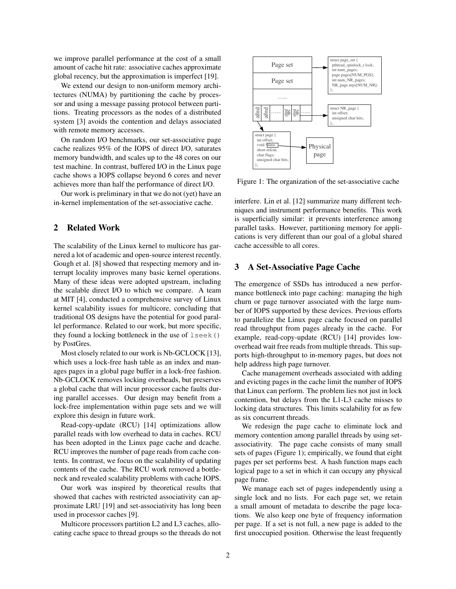we improve parallel performance at the cost of a small amount of cache hit rate: associative caches approximate global recency, but the approximation is imperfect [19].

We extend our design to non-uniform memory architectures (NUMA) by partitioning the cache by processor and using a message passing protocol between partitions. Treating processors as the nodes of a distributed system [3] avoids the contention and delays associated with remote memory accesses.

On random I/O benchmarks, our set-associative page cache realizes 95% of the IOPS of direct I/O, saturates memory bandwidth, and scales up to the 48 cores on our test machine. In contrast, buffered I/O in the Linux page cache shows a IOPS collapse beyond 6 cores and never achieves more than half the performance of direct I/O.

Our work is preliminary in that we do not (yet) have an in-kernel implementation of the set-associative cache.

## 2 Related Work

The scalability of the Linux kernel to multicore has garnered a lot of academic and open-source interest recently. Gough et al. [8] showed that respecting memory and interrupt locality improves many basic kernel operations. Many of these ideas were adopted upstream, including the scalable direct I/O to which we compare. A team at MIT [4], conducted a comprehensive survey of Linux kernel scalability issues for multicore, concluding that traditional OS designs have the potential for good parallel performance. Related to our work, but more specific, they found a locking bottleneck in the use of lseek() by PostGres.

Most closely related to our work is Nb-GCLOCK [13]. which uses a lock-free hash table as an index and manages pages in a global page buffer in a lock-free fashion. Nb-GCLOCK removes locking overheads, but preserves a global cache that will incur processor cache faults during parallel accesses. Our design may benefit from a lock-free implementation within page sets and we will explore this design in future work.

Read-copy-update (RCU) [14] optimizations allow parallel reads with low overhead to data in caches. RCU has been adopted in the Linux page cache and dcache. RCU improves the number of page reads from cache contents. In contrast, we focus on the scalability of updating contents of the cache. The RCU work removed a bottleneck and revealed scalability problems with cache IOPS.

Our work was inspired by theoretical results that showed that caches with restricted associativity can approximate LRU [19] and set-associativity has long been used in processor caches [9].

Multicore processors partition L2 and L3 caches, allocating cache space to thread groups so the threads do not



Figure 1: The organization of the set-associative cache

interfere. Lin et al. [12] summarize many different techniques and instrument performance benefits. This work is superficially similar: it prevents interference among parallel tasks. However, partitioning memory for applications is very different than our goal of a global shared cache accessible to all cores.

## 3 A Set-Associative Page Cache

The emergence of SSDs has introduced a new performance bottleneck into page caching: managing the high churn or page turnover associated with the large number of IOPS supported by these devices. Previous efforts to parallelize the Linux page cache focused on parallel read throughput from pages already in the cache. For example, read-copy-update (RCU) [14] provides lowoverhead wait free reads from multiple threads. This supports high-throughput to in-memory pages, but does not help address high page turnover.

Cache management overheads associated with adding and evicting pages in the cache limit the number of IOPS that Linux can perform. The problem lies not just in lock contention, but delays from the L1-L3 cache misses to locking data structures. This limits scalability for as few as six concurrent threads.

We redesign the page cache to eliminate lock and memory contention among parallel threads by using setassociativity. The page cache consists of many small sets of pages (Figure 1); empirically, we found that eight pages per set performs best. A hash function maps each logical page to a set in which it can occupy any physical page frame.

We manage each set of pages independently using a single lock and no lists. For each page set, we retain a small amount of metadata to describe the page locations. We also keep one byte of frequency information per page. If a set is not full, a new page is added to the first unoccupied position. Otherwise the least frequently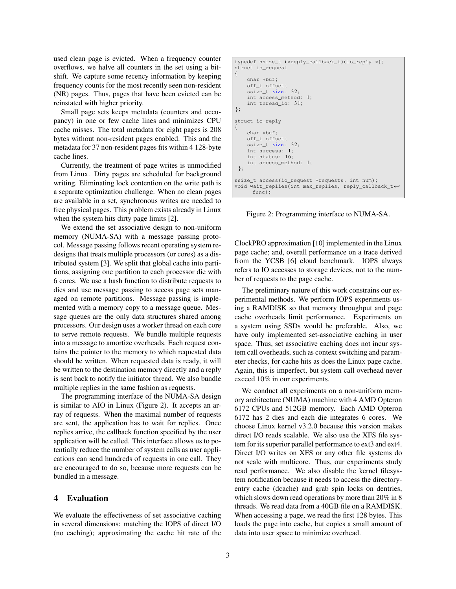used clean page is evicted. When a frequency counter overflows, we halve all counters in the set using a bitshift. We capture some recency information by keeping frequency counts for the most recently seen non-resident (NR) pages. Thus, pages that have been evicted can be reinstated with higher priority.

Small page sets keeps metadata (counters and occupancy) in one or few cache lines and minimizes CPU cache misses. The total metadata for eight pages is 208 bytes without non-resident pages enabled. This and the metadata for 37 non-resident pages fits within 4 128-byte cache lines.

Currently, the treatment of page writes is unmodified from Linux. Dirty pages are scheduled for background writing. Eliminating lock contention on the write path is a separate optimization challenge. When no clean pages are available in a set, synchronous writes are needed to free physical pages. This problem exists already in Linux when the system hits dirty page limits [2].

We extend the set associative design to non-uniform memory (NUMA-SA) with a message passing protocol. Message passing follows recent operating system redesigns that treats multiple processors (or cores) as a distributed system [3]. We split that global cache into partitions, assigning one partition to each processor die with 6 cores. We use a hash function to distribute requests to dies and use message passing to access page sets managed on remote partitions. Message passing is implemented with a memory copy to a message queue. Message queues are the only data structures shared among processors. Our design uses a worker thread on each core to serve remote requests. We bundle multiple requests into a message to amortize overheads. Each request contains the pointer to the memory to which requested data should be written. When requested data is ready, it will be written to the destination memory directly and a reply is sent back to notify the initiator thread. We also bundle multiple replies in the same fashion as requests.

The programming interface of the NUMA-SA design is similar to AIO in Linux (Figure 2). It accepts an array of requests. When the maximal number of requests are sent, the application has to wait for replies. Once replies arrive, the callback function specified by the user application will be called. This interface allows us to potentially reduce the number of system calls as user applications can send hundreds of requests in one call. They are encouraged to do so, because more requests can be bundled in a message.

## 4 Evaluation

We evaluate the effectiveness of set associative caching in several dimensions: matching the IOPS of direct I/O (no caching); approximating the cache hit rate of the

```
typedef ssize_t (*reply_callback_t) (io_reply *) ;
struct io_request
{
    char *buf ;
    off_t offset ;
    ssize_t size: 32;
    int access_method: 1;
    int thread_id: 31;
};
struct io_reply
{
    char *buf ;
    off_t offset ;
    ssize_t size: 32;
    int success: 1;
    int status: 16;
    int access_method: 1;
 };
ssize t access(io request *requests, int num);
void wait_replies(int max_replies, reply_callback_t+
      func) ;
```
Figure 2: Programming interface to NUMA-SA.

ClockPRO approximation [10] implemented in the Linux page cache; and, overall performance on a trace derived from the YCSB [6] cloud benchmark. IOPS always refers to IO accesses to storage devices, not to the number of requests to the page cache.

The preliminary nature of this work constrains our experimental methods. We perform IOPS experiments using a RAMDISK so that memory throughput and page cache overheads limit performance. Experiments on a system using SSDs would be preferable. Also, we have only implemented set-associative caching in user space. Thus, set associative caching does not incur system call overheads, such as context switching and parameter checks, for cache hits as does the Linux page cache. Again, this is imperfect, but system call overhead never exceed 10% in our experiments.

We conduct all experiments on a non-uniform memory architecture (NUMA) machine with 4 AMD Opteron 6172 CPUs and 512GB memory. Each AMD Opteron 6172 has 2 dies and each die integrates 6 cores. We choose Linux kernel v3.2.0 because this version makes direct I/O reads scalable. We also use the XFS file system for its superior parallel performance to ext3 and ext4. Direct I/O writes on XFS or any other file systems do not scale with multicore. Thus, our experiments study read performance. We also disable the kernel filesystem notification because it needs to access the directoryentry cache (dcache) and grab spin locks on dentries, which slows down read operations by more than 20% in 8 threads. We read data from a 40GB file on a RAMDISK. When accessing a page, we read the first 128 bytes. This loads the page into cache, but copies a small amount of data into user space to minimize overhead.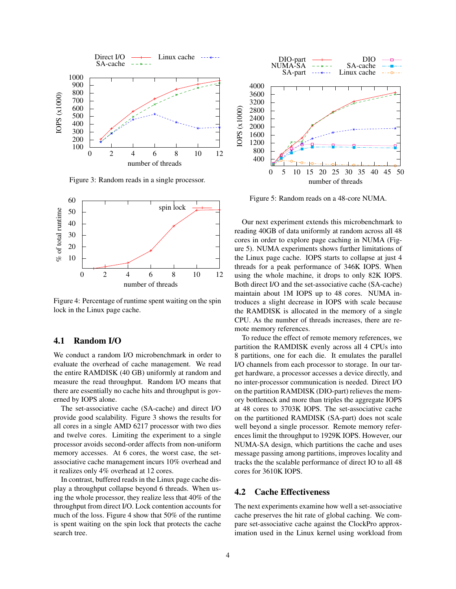

Figure 3: Random reads in a single processor.



Figure 4: Percentage of runtime spent waiting on the spin lock in the Linux page cache.

# 4.1 Random I/O

We conduct a random I/O microbenchmark in order to evaluate the overhead of cache management. We read the entire RAMDISK (40 GB) uniformly at random and measure the read throughput. Random I/O means that there are essentially no cache hits and throughput is governed by IOPS alone.

The set-associative cache (SA-cache) and direct I/O provide good scalability. Figure 3 shows the results for all cores in a single AMD 6217 processor with two dies and twelve cores. Limiting the experiment to a single processor avoids second-order affects from non-uniform memory accesses. At 6 cores, the worst case, the setassociative cache management incurs 10% overhead and it realizes only 4% overhead at 12 cores.

In contrast, buffered reads in the Linux page cache display a throughput collapse beyond 6 threads. When using the whole processor, they realize less that 40% of the throughput from direct I/O. Lock contention accounts for much of the loss. Figure 4 show that 50% of the runtime is spent waiting on the spin lock that protects the cache search tree.



Figure 5: Random reads on a 48-core NUMA.

Our next experiment extends this microbenchmark to reading 40GB of data uniformly at random across all 48 cores in order to explore page caching in NUMA (Figure 5). NUMA experiments shows further limitations of the Linux page cache. IOPS starts to collapse at just 4 threads for a peak performance of 346K IOPS. When using the whole machine, it drops to only 82K IOPS. Both direct I/O and the set-associative cache (SA-cache) maintain about 1M IOPS up to 48 cores. NUMA introduces a slight decrease in IOPS with scale because the RAMDISK is allocated in the memory of a single CPU. As the number of threads increases, there are remote memory references.

To reduce the effect of remote memory references, we partition the RAMDISK evenly across all 4 CPUs into 8 partitions, one for each die. It emulates the parallel I/O channels from each processor to storage. In our target hardware, a processor accesses a device directly, and no inter-processor communication is needed. Direct I/O on the partition RAMDISK (DIO-part) relieves the memory bottleneck and more than triples the aggregate IOPS at 48 cores to 3703K IOPS. The set-associative cache on the partitioned RAMDISK (SA-part) does not scale well beyond a single processor. Remote memory references limit the throughput to 1929K IOPS. However, our NUMA-SA design, which partitions the cache and uses message passing among partitions, improves locality and tracks the the scalable performance of direct IO to all 48 cores for 3610K IOPS.

## 4.2 Cache Effectiveness

The next experiments examine how well a set-associative cache preserves the hit rate of global caching. We compare set-associative cache against the ClockPro approximation used in the Linux kernel using workload from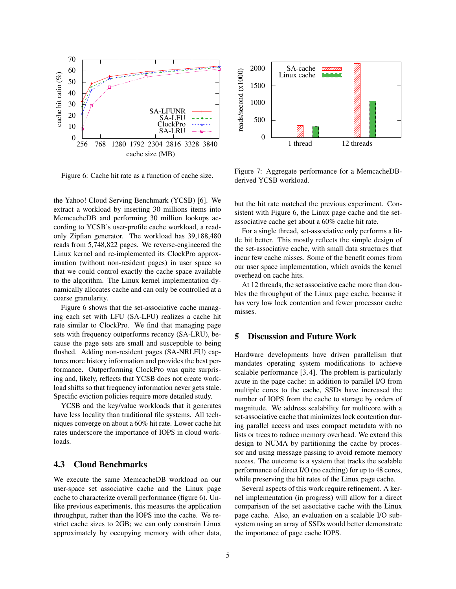

Figure 6: Cache hit rate as a function of cache size.

the Yahoo! Cloud Serving Benchmark (YCSB) [6]. We extract a workload by inserting 30 millions items into MemcacheDB and performing 30 million lookups according to YCSB's user-profile cache workload, a readonly Zipfian generator. The workload has 39,188,480 reads from 5,748,822 pages. We reverse-engineered the Linux kernel and re-implemented its ClockPro approximation (without non-resident pages) in user space so that we could control exactly the cache space available to the algorithm. The Linux kernel implementation dynamically allocates cache and can only be controlled at a coarse granularity.

Figure 6 shows that the set-associative cache managing each set with LFU (SA-LFU) realizes a cache hit rate similar to ClockPro. We find that managing page sets with frequency outperforms recency (SA-LRU), because the page sets are small and susceptible to being flushed. Adding non-resident pages (SA-NRLFU) captures more history information and provides the best performance. Outperforming ClockPro was quite surprising and, likely, reflects that YCSB does not create workload shifts so that frequency information never gets stale. Specific eviction policies require more detailed study.

YCSB and the key/value workloads that it generates have less locality than traditional file systems. All techniques converge on about a 60% hit rate. Lower cache hit rates underscore the importance of IOPS in cloud workloads.

## 4.3 Cloud Benchmarks

We execute the same MemcacheDB workload on our user-space set associative cache and the Linux page cache to characterize overall performance (figure 6). Unlike previous experiments, this measures the application throughput, rather than the IOPS into the cache. We restrict cache sizes to 2GB; we can only constrain Linux approximately by occupying memory with other data,



Figure 7: Aggregate performance for a MemcacheDBderived YCSB workload.

but the hit rate matched the previous experiment. Consistent with Figure 6, the Linux page cache and the setassociative cache get about a 60% cache hit rate.

For a single thread, set-associative only performs a little bit better. This mostly reflects the simple design of the set-associative cache, with small data structures that incur few cache misses. Some of the benefit comes from our user space implementation, which avoids the kernel overhead on cache hits.

At 12 threads, the set associative cache more than doubles the throughput of the Linux page cache, because it has very low lock contention and fewer processor cache misses.

## 5 Discussion and Future Work

Hardware developments have driven parallelism that mandates operating system modifications to achieve scalable performance [3, 4]. The problem is particularly acute in the page cache: in addition to parallel I/O from multiple cores to the cache, SSDs have increased the number of IOPS from the cache to storage by orders of magnitude. We address scalability for multicore with a set-associative cache that minimizes lock contention during parallel access and uses compact metadata with no lists or trees to reduce memory overhead. We extend this design to NUMA by partitioning the cache by processor and using message passing to avoid remote memory access. The outcome is a system that tracks the scalable performance of direct I/O (no caching) for up to 48 cores, while preserving the hit rates of the Linux page cache.

Several aspects of this work require refinement. A kernel implementation (in progress) will allow for a direct comparison of the set associative cache with the Linux page cache. Also, an evaluation on a scalable I/O subsystem using an array of SSDs would better demonstrate the importance of page cache IOPS.